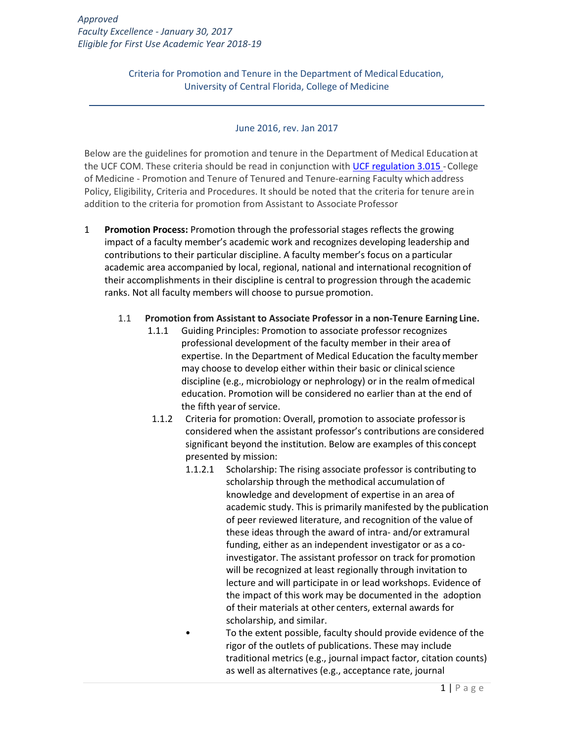Criteria for Promotion and Tenure in the Department of Medical Education, University of Central Florida, College of Medicine

#### June 2016, rev. Jan 2017

Below are the guidelines for promotion and tenure in the Department of Medical Education at the UCF COM. These criteria should be read in conjunction with [UCF regulation 3.015 -](http://regulations.ucf.edu/documents/Notice3.015PromotionandTenureFINALMay16.pdf)College of Medicine - Promotion and Tenure of Tenured and Tenure-earning Faculty whichaddress Policy, Eligibility, Criteria and Procedures. It should be noted that the criteria for tenure arein addition to the criteria for promotion from Assistant to Associate Professor

1 **Promotion Process:** Promotion through the professorial stages reflects the growing impact of a faculty member's academic work and recognizes developing leadership and contributions to their particular discipline. A faculty member's focus on a particular academic area accompanied by local, regional, national and international recognition of their accomplishments in their discipline is central to progression through the academic ranks. Not all faculty members will choose to pursue promotion.

### 1.1 **Promotion from Assistant to Associate Professor in a non-Tenure Earning Line.**

- 1.1.1 Guiding Principles: Promotion to associate professor recognizes professional development of the faculty member in their area of expertise. In the Department of Medical Education the facultymember may choose to develop either within their basic or clinical science discipline (e.g., microbiology or nephrology) or in the realm ofmedical education. Promotion will be considered no earlier than at the end of the fifth year of service.
- 1.1.2 Criteria for promotion: Overall, promotion to associate professor is considered when the assistant professor's contributions are considered significant beyond the institution. Below are examples of this concept presented by mission:
	- 1.1.2.1 Scholarship: The rising associate professor is contributing to scholarship through the methodical accumulation of knowledge and development of expertise in an area of academic study. This is primarily manifested by the publication of peer reviewed literature, and recognition of the value of these ideas through the award of intra- and/or extramural funding, either as an independent investigator or as a coinvestigator. The assistant professor on track for promotion will be recognized at least regionally through invitation to lecture and will participate in or lead workshops. Evidence of the impact of this work may be documented in the adoption of their materials at other centers, external awards for scholarship, and similar.
	- To the extent possible, faculty should provide evidence of the rigor of the outlets of publications. These may include traditional metrics (e.g., journal impact factor, citation counts) as well as alternatives (e.g., acceptance rate, journal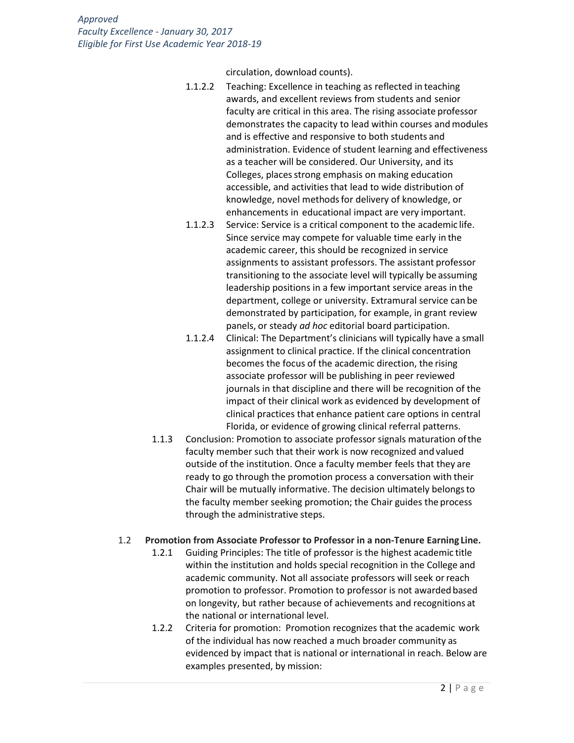circulation, download counts).

- 1.1.2.2 Teaching: Excellence in teaching as reflected in teaching awards, and excellent reviews from students and senior faculty are critical in this area. The rising associate professor demonstrates the capacity to lead within courses and modules and is effective and responsive to both students and administration. Evidence of student learning and effectiveness as a teacher will be considered. Our University, and its Colleges, places strong emphasis on making education accessible, and activities that lead to wide distribution of knowledge, novel methodsfor delivery of knowledge, or enhancements in educational impact are very important.
- 1.1.2.3 Service: Service is a critical component to the academic life. Since service may compete for valuable time early in the academic career, this should be recognized in service assignments to assistant professors. The assistant professor transitioning to the associate level will typically be assuming leadership positions in a few important service areas in the department, college or university. Extramural service can be demonstrated by participation, for example, in grant review panels, or steady *ad hoc* editorial board participation.
- 1.1.2.4 Clinical: The Department's clinicians will typically have a small assignment to clinical practice. If the clinical concentration becomes the focus of the academic direction, the rising associate professor will be publishing in peer reviewed journals in that discipline and there will be recognition of the impact of their clinical work as evidenced by development of clinical practices that enhance patient care options in central Florida, or evidence of growing clinical referral patterns.
- 1.1.3 Conclusion: Promotion to associate professor signals maturation ofthe faculty member such that their work is now recognized and valued outside of the institution. Once a faculty member feels that they are ready to go through the promotion process a conversation with their Chair will be mutually informative. The decision ultimately belongsto the faculty member seeking promotion; the Chair guides the process through the administrative steps.

#### 1.2 **Promotion from Associate Professor to Professor in a non-Tenure Earning Line.**

- 1.2.1 Guiding Principles: The title of professor is the highest academic title within the institution and holds special recognition in the College and academic community. Not all associate professors will seek orreach promotion to professor. Promotion to professor is not awarded based on longevity, but rather because of achievements and recognitions at the national or international level.
- 1.2.2 Criteria for promotion: Promotion recognizes that the academic work of the individual has now reached a much broader community as evidenced by impact that is national or international in reach. Below are examples presented, by mission: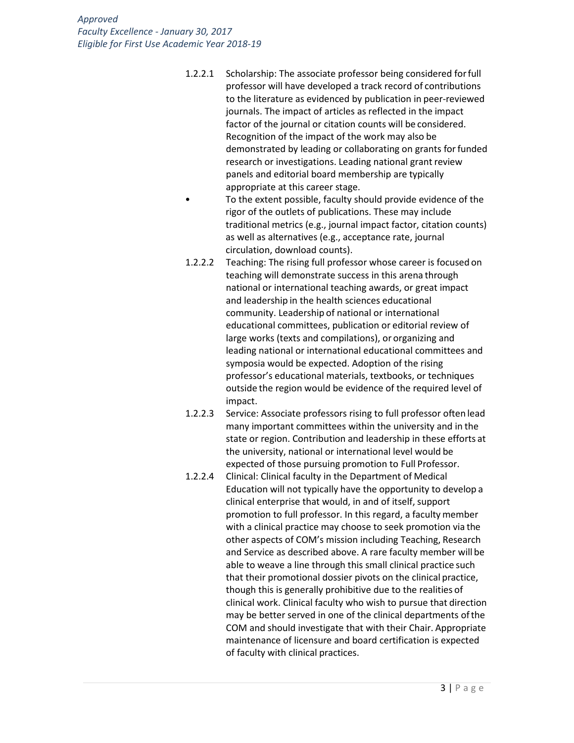- 1.2.2.1 Scholarship: The associate professor being considered forfull professor will have developed a track record of contributions to the literature as evidenced by publication in peer-reviewed journals. The impact of articles as reflected in the impact factor of the journal or citation counts will be considered. Recognition of the impact of the work may also be demonstrated by leading or collaborating on grants for funded research or investigations. Leading national grant review panels and editorial board membership are typically appropriate at this career stage.
	- To the extent possible, faculty should provide evidence of the rigor of the outlets of publications. These may include traditional metrics (e.g., journal impact factor, citation counts) as well as alternatives (e.g., acceptance rate, journal circulation, download counts).
- 1.2.2.2 Teaching: The rising full professor whose career is focused on teaching will demonstrate success in this arena through national or international teaching awards, or great impact and leadership in the health sciences educational community. Leadership of national or international educational committees, publication or editorial review of large works (texts and compilations), or organizing and leading national or international educational committees and symposia would be expected. Adoption of the rising professor's educational materials, textbooks, or techniques outside the region would be evidence of the required level of impact.
- 1.2.2.3 Service: Associate professors rising to full professor often lead many important committees within the university and in the state or region. Contribution and leadership in these efforts at the university, national or international level would be expected of those pursuing promotion to Full Professor.
- 1.2.2.4 Clinical: Clinical faculty in the Department of Medical Education will not typically have the opportunity to develop a clinical enterprise that would, in and of itself, support promotion to full professor. In this regard, a faculty member with a clinical practice may choose to seek promotion via the other aspects of COM's mission including Teaching, Research and Service as described above. A rare faculty member will be able to weave a line through this small clinical practice such that their promotional dossier pivots on the clinical practice, though this is generally prohibitive due to the realities of clinical work. Clinical faculty who wish to pursue that direction may be better served in one of the clinical departments ofthe COM and should investigate that with their Chair. Appropriate maintenance of licensure and board certification is expected of faculty with clinical practices.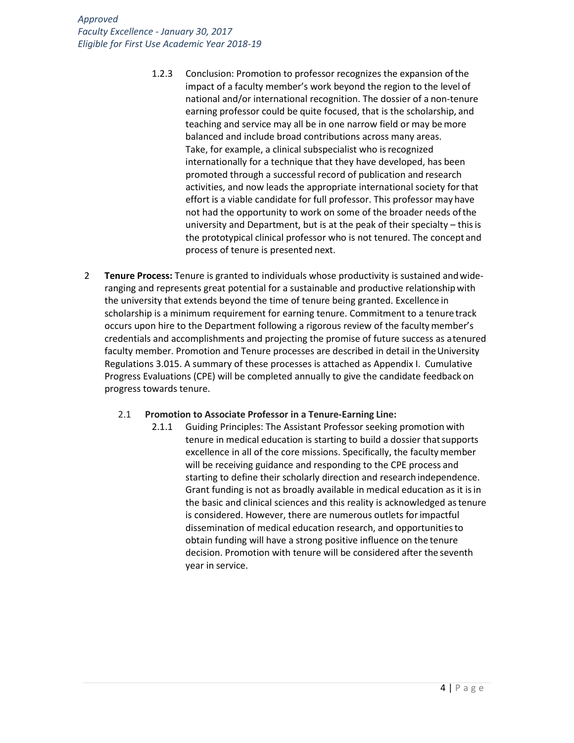- 1.2.3 Conclusion: Promotion to professor recognizes the expansion ofthe impact of a faculty member's work beyond the region to the level of national and/or international recognition. The dossier of a non-tenure earning professor could be quite focused, that is the scholarship, and teaching and service may all be in one narrow field or may bemore balanced and include broad contributions across many areas. Take, for example, a clinical subspecialist who is recognized internationally for a technique that they have developed, has been promoted through a successful record of publication and research activities, and now leads the appropriate international society forthat effort is a viable candidate for full professor. This professor may have not had the opportunity to work on some of the broader needs ofthe university and Department, but is at the peak of their specialty – thisis the prototypical clinical professor who is not tenured. The concept and process of tenure is presented next.
- 2 **Tenure Process:** Tenure is granted to individuals whose productivity is sustained andwideranging and represents great potential for a sustainable and productive relationshipwith the university that extends beyond the time of tenure being granted. Excellence in scholarship is a minimum requirement for earning tenure. Commitment to a tenure track occurs upon hire to the Department following a rigorous review of the facultymember's credentials and accomplishments and projecting the promise of future success as atenured faculty member. Promotion and Tenure processes are described in detail in the University Regulations 3.015. A summary of these processes is attached as Appendix I. Cumulative Progress Evaluations (CPE) will be completed annually to give the candidate feedback on progress towards tenure.

#### 2.1 **Promotion to Associate Professor in a Tenure-Earning Line:**

2.1.1 Guiding Principles: The Assistant Professor seeking promotion with tenure in medical education is starting to build a dossier thatsupports excellence in all of the core missions. Specifically, the faculty member will be receiving guidance and responding to the CPE process and starting to define their scholarly direction and research independence. Grant funding is not as broadly available in medical education as it isin the basic and clinical sciences and this reality is acknowledged astenure is considered. However, there are numerous outlets forimpactful dissemination of medical education research, and opportunitiesto obtain funding will have a strong positive influence on the tenure decision. Promotion with tenure will be considered after the seventh year in service.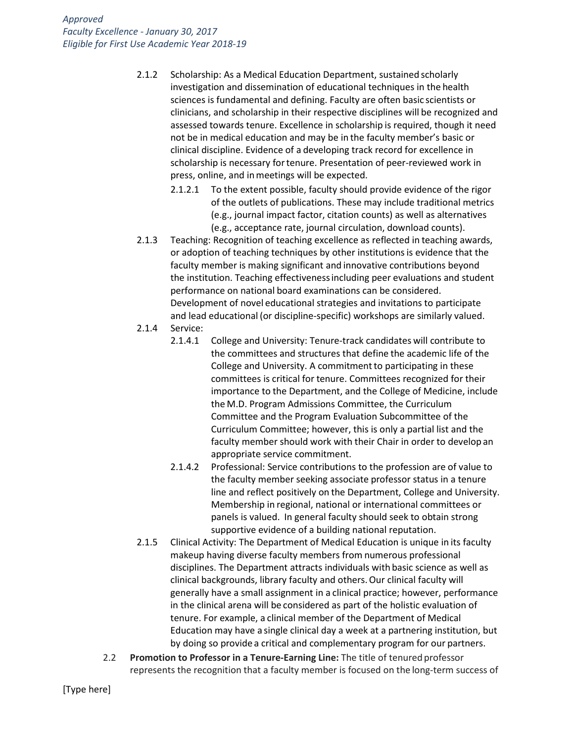- 2.1.2 Scholarship: As a Medical Education Department, sustained scholarly investigation and dissemination of educational techniques in the health sciences is fundamental and defining. Faculty are often basic scientists or clinicians, and scholarship in their respective disciplines will be recognized and assessed towards tenure. Excellence in scholarship is required, though it need not be in medical education and may be in the faculty member's basic or clinical discipline. Evidence of a developing track record for excellence in scholarship is necessary fortenure. Presentation of peer-reviewed work in press, online, and inmeetings will be expected.
	- 2.1.2.1 To the extent possible, faculty should provide evidence of the rigor of the outlets of publications. These may include traditional metrics (e.g., journal impact factor, citation counts) as well as alternatives (e.g., acceptance rate, journal circulation, download counts).
- 2.1.3 Teaching: Recognition of teaching excellence as reflected in teaching awards, or adoption of teaching techniques by other institutions is evidence that the faculty member is making significant and innovative contributions beyond the institution. Teaching effectivenessincluding peer evaluations and student performance on national board examinations can be considered. Development of novel educational strategies and invitations to participate and lead educational (or discipline-specific) workshops are similarly valued.
- 2.1.4 Service:
	- 2.1.4.1 College and University: Tenure-track candidates will contribute to the committees and structures that define the academic life of the College and University. A commitment to participating in these committees is critical for tenure. Committees recognized for their importance to the Department, and the College of Medicine, include the M.D. Program Admissions Committee, the Curriculum Committee and the Program Evaluation Subcommittee of the Curriculum Committee; however, this is only a partial list and the faculty member should work with their Chair in order to develop an appropriate service commitment.
	- 2.1.4.2 Professional: Service contributions to the profession are of value to the faculty member seeking associate professor status in a tenure line and reflect positively on the Department, College and University. Membership in regional, national or international committees or panels is valued. In general faculty should seek to obtain strong supportive evidence of a building national reputation.
- 2.1.5 Clinical Activity: The Department of Medical Education is unique in its faculty makeup having diverse faculty members from numerous professional disciplines. The Department attracts individuals with basic science as well as clinical backgrounds, library faculty and others.Our clinical faculty will generally have a small assignment in a clinical practice; however, performance in the clinical arena will be considered as part of the holistic evaluation of tenure. For example, a clinical member of the Department of Medical Education may have a single clinical day a week at a partnering institution, but by doing so provide a critical and complementary program for our partners.
- 2.2 **Promotion to Professor in a Tenure-Earning Line:** The title of tenured professor represents the recognition that a faculty member is focused on the long-term success of

[Type here]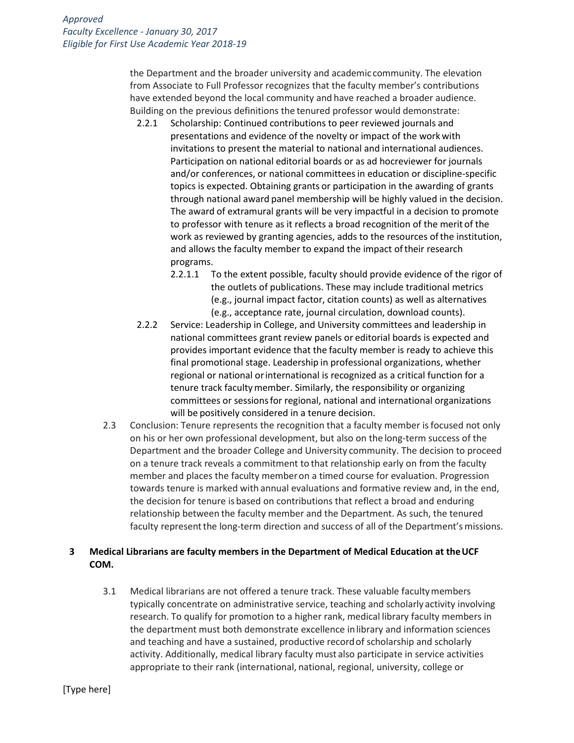the Department and the broader university and academic community. The elevation from Associate to Full Professor recognizes that the faculty member's contributions have extended beyond the local community and have reached a broader audience. Building on the previous definitions the tenured professor would demonstrate:

- 2.2.1 Scholarship: Continued contributions to peer reviewed journals and presentations and evidence of the novelty or impact of the work with invitations to present the material to national and international audiences. Participation on national editorial boards or as ad hocreviewer for journals and/or conferences, or national committeesin education or discipline-specific topics is expected. Obtaining grants or participation in the awarding of grants through national award panel membership will be highly valued in the decision. The award of extramural grants will be very impactful in a decision to promote to professor with tenure as it reflects a broad recognition of the merit of the work as reviewed by granting agencies, adds to the resources of the institution, and allows the faculty member to expand the impact of their research programs.
	- 2.2.1.1 To the extent possible, faculty should provide evidence of the rigor of the outlets of publications. These may include traditional metrics (e.g., journal impact factor, citation counts) as well as alternatives (e.g., acceptance rate, journal circulation, download counts).
- 2.2.2 Service: Leadership in College, and University committees and leadership in national committees grant review panels or editorial boards is expected and provides important evidence that the faculty member is ready to achieve this final promotional stage. Leadership in professional organizations, whether regional or national orinternational is recognized as a critical function for a tenure track facultymember. Similarly, the responsibility or organizing committees or sessionsfor regional, national and international organizations will be positively considered in a tenure decision.
- 2.3 Conclusion: Tenure represents the recognition that a faculty member isfocused not only on his or her own professional development, but also on the long-term success of the Department and the broader College and University community. The decision to proceed on a tenure track reveals a commitment to that relationship early on from the faculty member and places the faculty memberon a timed course for evaluation. Progression towards tenure is marked with annual evaluations and formative review and, in the end, the decision for tenure is based on contributions that reflect a broad and enduring relationship between the faculty member and the Department. As such, the tenured faculty represent the long-term direction and success of all of the Department's missions.

## **3 Medical Librarians are faculty members in the Department of Medical Education at theUCF COM.**

3.1 Medical librarians are not offered a tenure track. These valuable facultymembers typically concentrate on administrative service, teaching and scholarly activity involving research. To qualify for promotion to a higher rank, medical library faculty members in the department must both demonstrate excellence inlibrary and information sciences and teaching and have a sustained, productive recordof scholarship and scholarly activity. Additionally, medical library faculty must also participate in service activities appropriate to their rank (international, national, regional, university, college or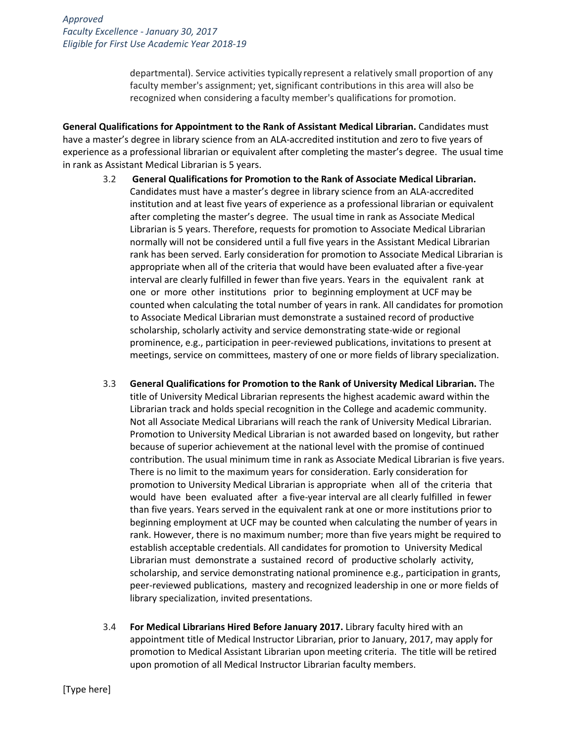departmental). Service activities typically represent a relatively small proportion of any faculty member's assignment; yet,significant contributions in this area will also be recognized when considering a faculty member's qualifications for promotion.

**General Qualifications for Appointment to the Rank of Assistant Medical Librarian.** Candidates must have a master's degree in library science from an ALA-accredited institution and zero to five years of experience as a professional librarian or equivalent after completing the master's degree. The usual time in rank as Assistant Medical Librarian is 5 years.

- 3.2 **General Qualifications for Promotion to the Rank of Associate Medical Librarian.**  Candidates must have a master's degree in library science from an ALA-accredited institution and at least five years of experience as a professional librarian or equivalent after completing the master's degree. The usual time in rank as Associate Medical Librarian is 5 years. Therefore, requests for promotion to Associate Medical Librarian normally will not be considered until a full five years in the Assistant Medical Librarian rank has been served. Early consideration for promotion to Associate Medical Librarian is appropriate when all of the criteria that would have been evaluated after a five-year interval are clearly fulfilled in fewer than five years. Years in the equivalent rank at one or more other institutions prior to beginning employment at UCF may be counted when calculating the total number of years in rank. All candidates for promotion to Associate Medical Librarian must demonstrate a sustained record of productive scholarship, scholarly activity and service demonstrating state-wide or regional prominence, e.g., participation in peer-reviewed publications, invitations to present at meetings, service on committees, mastery of one or more fields of library specialization.
- 3.3 **General Qualifications for Promotion to the Rank of University Medical Librarian.** The title of University Medical Librarian represents the highest academic award within the Librarian track and holds special recognition in the College and academic community. Not all Associate Medical Librarians will reach the rank of University Medical Librarian. Promotion to University Medical Librarian is not awarded based on longevity, but rather because of superior achievement at the national level with the promise of continued contribution. The usual minimum time in rank as Associate Medical Librarian is five years. There is no limit to the maximum years for consideration. Early consideration for promotion to University Medical Librarian is appropriate when all of the criteria that would have been evaluated after a five-year interval are all clearly fulfilled in fewer than five years. Years served in the equivalent rank at one or more institutions prior to beginning employment at UCF may be counted when calculating the number of years in rank. However, there is no maximum number; more than five years might be required to establish acceptable credentials. All candidates for promotion to University Medical Librarian must demonstrate a sustained record of productive scholarly activity, scholarship, and service demonstrating national prominence e.g., participation in grants, peer-reviewed publications, mastery and recognized leadership in one or more fields of library specialization, invited presentations.
- 3.4 **For Medical Librarians Hired Before January 2017.** Library faculty hired with an appointment title of Medical Instructor Librarian, prior to January, 2017, may apply for promotion to Medical Assistant Librarian upon meeting criteria. The title will be retired upon promotion of all Medical Instructor Librarian faculty members.

[Type here]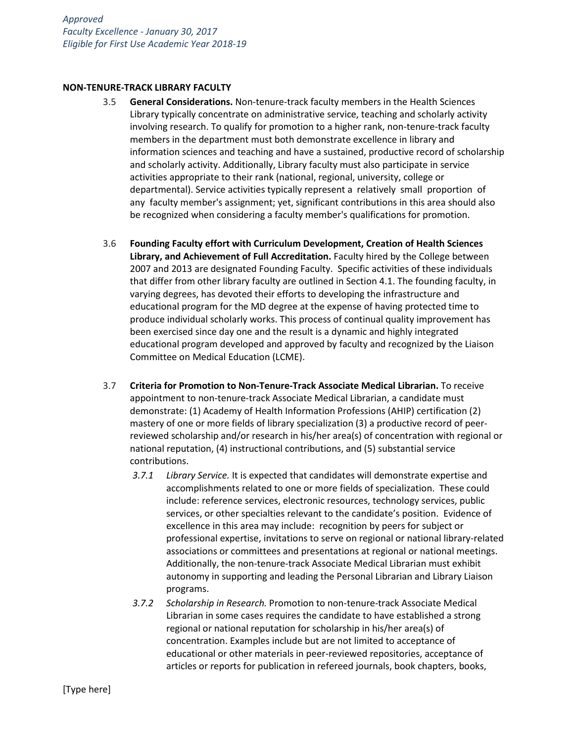#### **NON-TENURE-TRACK LIBRARY FACULTY**

- 3.5 **General Considerations.** Non-tenure-track faculty members in the Health Sciences Library typically concentrate on administrative service, teaching and scholarly activity involving research. To qualify for promotion to a higher rank, non-tenure-track faculty members in the department must both demonstrate excellence in library and information sciences and teaching and have a sustained, productive record of scholarship and scholarly activity. Additionally, Library faculty must also participate in service activities appropriate to their rank (national, regional, university, college or departmental). Service activities typically represent a relatively small proportion of any faculty member's assignment; yet, significant contributions in this area should also be recognized when considering a faculty member's qualifications for promotion.
- 3.6 **Founding Faculty effort with Curriculum Development, Creation of Health Sciences Library, and Achievement of Full Accreditation.** Faculty hired by the College between 2007 and 2013 are designated Founding Faculty. Specific activities of these individuals that differ from other library faculty are outlined in Section 4.1. The founding faculty, in varying degrees, has devoted their efforts to developing the infrastructure and educational program for the MD degree at the expense of having protected time to produce individual scholarly works. This process of continual quality improvement has been exercised since day one and the result is a dynamic and highly integrated educational program developed and approved by faculty and recognized by the Liaison Committee on Medical Education (LCME).
- 3.7 **Criteria for Promotion to Non-Tenure-Track Associate Medical Librarian.** To receive appointment to non-tenure-track Associate Medical Librarian, a candidate must demonstrate: (1) Academy of Health Information Professions (AHIP) certification (2) mastery of one or more fields of library specialization (3) a productive record of peerreviewed scholarship and/or research in his/her area(s) of concentration with regional or national reputation, (4) instructional contributions, and (5) substantial service contributions.
	- *3.7.1 Library Service.* It is expected that candidates will demonstrate expertise and accomplishments related to one or more fields of specialization. These could include: reference services, electronic resources, technology services, public services, or other specialties relevant to the candidate's position. Evidence of excellence in this area may include: recognition by peers for subject or professional expertise, invitations to serve on regional or national library-related associations or committees and presentations at regional or national meetings. Additionally, the non-tenure-track Associate Medical Librarian must exhibit autonomy in supporting and leading the Personal Librarian and Library Liaison programs.
	- *3.7.2 Scholarship in Research.* Promotion to non-tenure-track Associate Medical Librarian in some cases requires the candidate to have established a strong regional or national reputation for scholarship in his/her area(s) of concentration. Examples include but are not limited to acceptance of educational or other materials in peer-reviewed repositories, acceptance of articles or reports for publication in refereed journals, book chapters, books,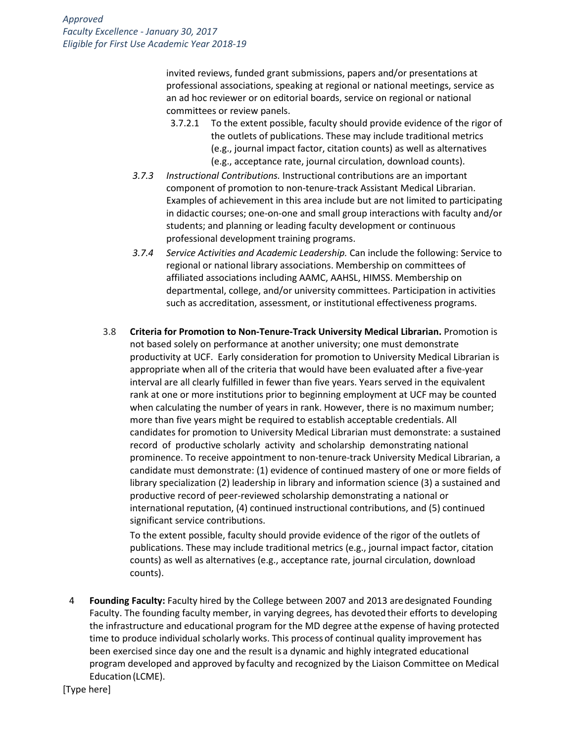invited reviews, funded grant submissions, papers and/or presentations at professional associations, speaking at regional or national meetings, service as an ad hoc reviewer or on editorial boards, service on regional or national committees or review panels.

- 3.7.2.1 To the extent possible, faculty should provide evidence of the rigor of the outlets of publications. These may include traditional metrics (e.g., journal impact factor, citation counts) as well as alternatives (e.g., acceptance rate, journal circulation, download counts).
- *3.7.3 Instructional Contributions.* Instructional contributions are an important component of promotion to non-tenure-track Assistant Medical Librarian. Examples of achievement in this area include but are not limited to participating in didactic courses; one-on-one and small group interactions with faculty and/or students; and planning or leading faculty development or continuous professional development training programs.
- *3.7.4 Service Activities and Academic Leadership.* Can include the following: Service to regional or national library associations. Membership on committees of affiliated associations including AAMC, AAHSL, HIMSS. Membership on departmental, college, and/or university committees. Participation in activities such as accreditation, assessment, or institutional effectiveness programs.
- 3.8 **Criteria for Promotion to Non-Tenure-Track University Medical Librarian.** Promotion is not based solely on performance at another university; one must demonstrate productivity at UCF. Early consideration for promotion to University Medical Librarian is appropriate when all of the criteria that would have been evaluated after a five-year interval are all clearly fulfilled in fewer than five years. Years served in the equivalent rank at one or more institutions prior to beginning employment at UCF may be counted when calculating the number of years in rank. However, there is no maximum number; more than five years might be required to establish acceptable credentials. All candidates for promotion to University Medical Librarian must demonstrate: a sustained record of productive scholarly activity and scholarship demonstrating national prominence. To receive appointment to non-tenure-track University Medical Librarian, a candidate must demonstrate: (1) evidence of continued mastery of one or more fields of library specialization (2) leadership in library and information science (3) a sustained and productive record of peer-reviewed scholarship demonstrating a national or international reputation, (4) continued instructional contributions, and (5) continued significant service contributions.

To the extent possible, faculty should provide evidence of the rigor of the outlets of publications. These may include traditional metrics (e.g., journal impact factor, citation counts) as well as alternatives (e.g., acceptance rate, journal circulation, download counts).

4 **Founding Faculty:** Faculty hired by the College between 2007 and 2013 aredesignated Founding Faculty. The founding faculty member, in varying degrees, has devotedtheir efforts to developing the infrastructure and educational program for the MD degree atthe expense of having protected time to produce individual scholarly works. This process of continual quality improvement has been exercised since day one and the result is a dynamic and highly integrated educational program developed and approved by faculty and recognized by the Liaison Committee on Medical Education(LCME).

[Type here]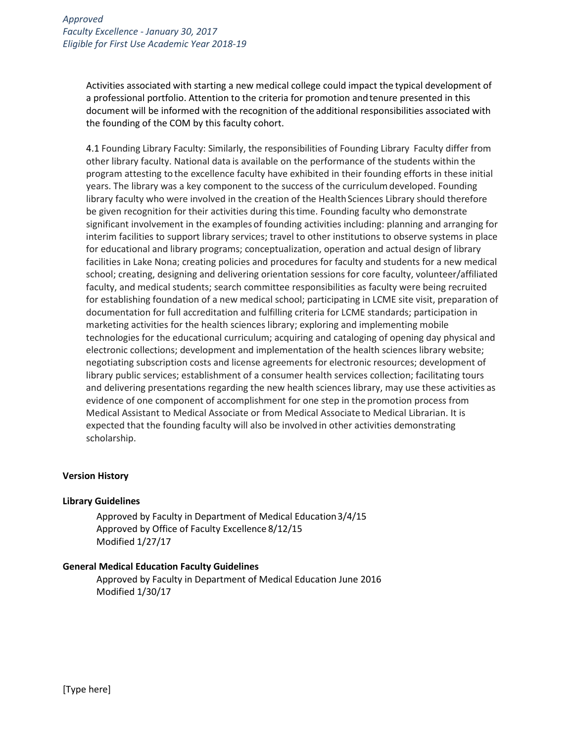Activities associated with starting a new medical college could impact the typical development of a professional portfolio. Attention to the criteria for promotion andtenure presented in this document will be informed with the recognition of the additional responsibilities associated with the founding of the COM by this faculty cohort.

4.1 Founding Library Faculty: Similarly, the responsibilities of Founding Library Faculty differ from other library faculty. National data is available on the performance of the students within the program attesting to the excellence faculty have exhibited in their founding efforts in these initial years. The library was a key component to the success of the curriculumdeveloped. Founding library faculty who were involved in the creation of the Health Sciences Library should therefore be given recognition for their activities during thistime. Founding faculty who demonstrate significant involvement in the examples of founding activities including: planning and arranging for interim facilities to support library services; travel to other institutions to observe systems in place for educational and library programs; conceptualization, operation and actual design of library facilities in Lake Nona; creating policies and procedures for faculty and students for a new medical school; creating, designing and delivering orientation sessions for core faculty, volunteer/affiliated faculty, and medical students; search committee responsibilities as faculty were being recruited for establishing foundation of a new medical school; participating in LCME site visit, preparation of documentation for full accreditation and fulfilling criteria for LCME standards; participation in marketing activities for the health sciences library; exploring and implementing mobile technologies for the educational curriculum; acquiring and cataloging of opening day physical and electronic collections; development and implementation of the health sciences library website; negotiating subscription costs and license agreements for electronic resources; development of library public services; establishment of a consumer health services collection; facilitating tours and delivering presentations regarding the new health sciences library, may use these activities as evidence of one component of accomplishment for one step in the promotion process from Medical Assistant to Medical Associate or from Medical Associate to Medical Librarian. It is expected that the founding faculty will also be involved in other activities demonstrating scholarship.

#### **Version History**

#### **Library Guidelines**

Approved by Faculty in Department of Medical Education3/4/15 Approved by Office of Faculty Excellence 8/12/15 Modified 1/27/17

#### **General Medical Education Faculty Guidelines**

Approved by Faculty in Department of Medical Education June 2016 Modified 1/30/17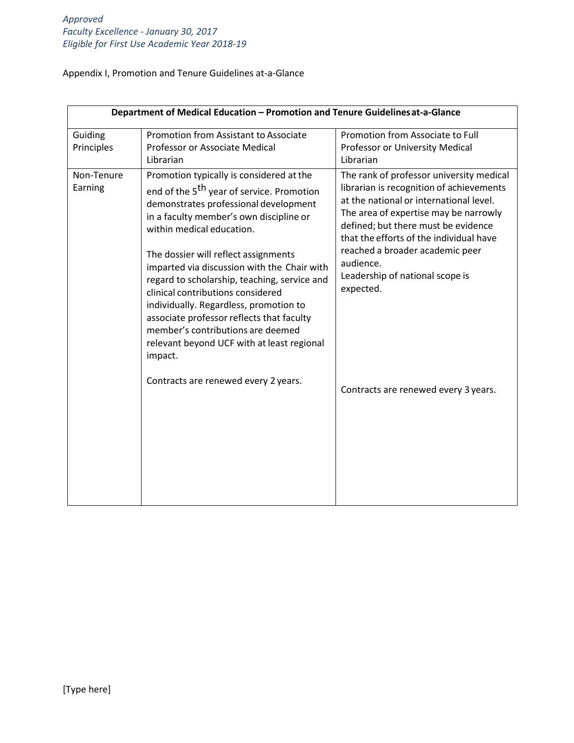Appendix I, Promotion and Tenure Guidelines at-a-Glance

| Department of Medical Education - Promotion and Tenure Guidelines at-a-Glance |                                                                                                                                                                                                                                                                                                                                                                                                                                                                                                                                                                                     |                                                                                                                                                                                                                                                                                                                                                            |  |
|-------------------------------------------------------------------------------|-------------------------------------------------------------------------------------------------------------------------------------------------------------------------------------------------------------------------------------------------------------------------------------------------------------------------------------------------------------------------------------------------------------------------------------------------------------------------------------------------------------------------------------------------------------------------------------|------------------------------------------------------------------------------------------------------------------------------------------------------------------------------------------------------------------------------------------------------------------------------------------------------------------------------------------------------------|--|
| Guiding<br>Principles                                                         | Promotion from Assistant to Associate<br>Professor or Associate Medical<br>Librarian                                                                                                                                                                                                                                                                                                                                                                                                                                                                                                | Promotion from Associate to Full<br>Professor or University Medical<br>Librarian                                                                                                                                                                                                                                                                           |  |
| Non-Tenure<br>Earning                                                         | Promotion typically is considered at the<br>end of the 5 <sup>th</sup> year of service. Promotion<br>demonstrates professional development<br>in a faculty member's own discipline or<br>within medical education.<br>The dossier will reflect assignments<br>imparted via discussion with the Chair with<br>regard to scholarship, teaching, service and<br>clinical contributions considered<br>individually. Regardless, promotion to<br>associate professor reflects that faculty<br>member's contributions are deemed<br>relevant beyond UCF with at least regional<br>impact. | The rank of professor university medical<br>librarian is recognition of achievements<br>at the national or international level.<br>The area of expertise may be narrowly<br>defined; but there must be evidence<br>that the efforts of the individual have<br>reached a broader academic peer<br>audience.<br>Leadership of national scope is<br>expected. |  |
|                                                                               | Contracts are renewed every 2 years.                                                                                                                                                                                                                                                                                                                                                                                                                                                                                                                                                | Contracts are renewed every 3 years.                                                                                                                                                                                                                                                                                                                       |  |